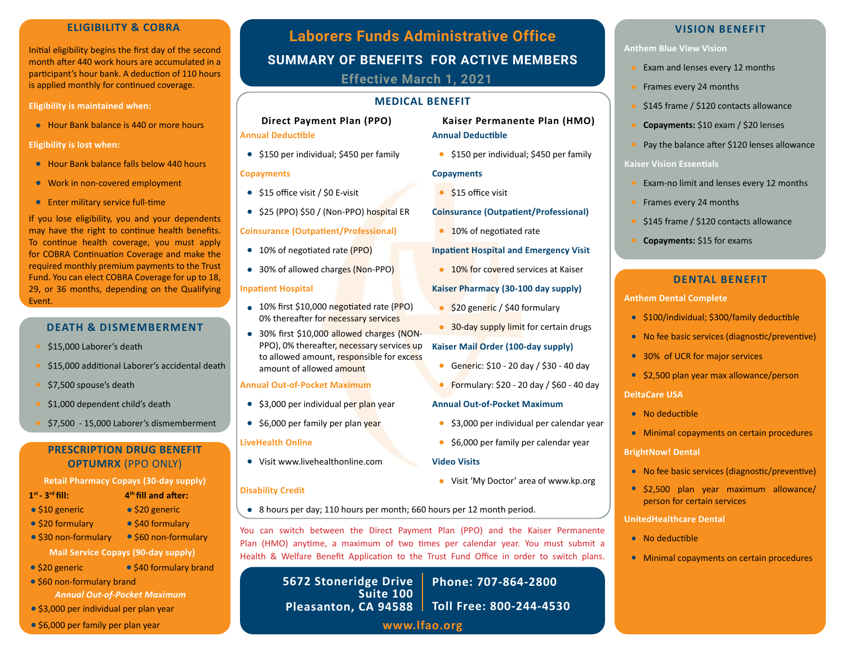Initial eligibility begins the first day of the second month after 440 work hours are accumulated in a participant's hour bank. A deduction of 110 hours is applied monthly for continued coverage.

**Eligibility is maintained when:**

Hour Bank balance is 440 or more hours **•**

#### **Eligibility is lost when:**

- Hour Bank balance falls below 440 hours **•**
- Work in non-covered employment **•**
- Enter military service full-time **•**

If you lose eligibility, you and your dependents may have the right to continue health benefits. To continue health coverage, you must apply for COBRA Continuation Coverage and make the required monthly premium payments to the Trust Fund. You can elect COBRA Coverage for up to 18, 29, or 36 months, depending on the Qualifying Event.

## **DEATH & DISMEMBERMENT**

- \$15,000 Laborer's death
- \$15,000 additional Laborer's accidental death
- \$7,500 spouse's death
- \$1,000 dependent child's death
- \$7,500 15,000 Laborer's dismemberment

## **PRESCRIPTION DRUG BENEFIT OPTUMRX** (PPO ONLY)

#### **Retail Pharmacy Copays (30-day supply)**

\$20 generic **•** \$40 formulary **•**

 $\bullet$  \$40 formulary brand

**4th fill and after:**

- **1st 3rd fill:**
- \$10 generic **•**
- \$20 formulary **•**
- \$30 non-formulary **•** \$60 non-formulary **•**
	- **Mail Service Copays (90-day supply)**
- **• •**
- \$60 non-formulary brand **•**

*Annual Out-of-Pocket Maximum*

- \$3,000 per individual per plan year **•**
- \$6,000 per family per plan year **•**

# **SUMMARY OF BENEFITS FOR ACTIVE MEMBERS Laborers Funds Administrative Office ELIGIBILITY & COBRA Effective March 1, 2021**

## **MEDICAL BENEFIT**

## **Direct Payment Plan (PPO)**

## **Annual Deductible**

\$150 per individual; \$450 per family **•**

## **Copayments**

- \$15 office visit / \$0 E-visit **•**
- \$25 (PPO) \$50 / (Non-PPO) hospital ER **•**

## **Coinsurance (Outpatient/Professional)**

- 10% of negotiated rate (PPO) **•**
- **•** 30% of allowed charges (Non-PPO)

#### **Inpatient Hospital**

- 10% first \$10,000 negotiated rate (PPO) **•** 0% thereafter for necessary services
- 30% first \$10,000 allowed charges (NON-**•** PPO), 0% thereafter, necessary services up to allowed amount, responsible for excess amount of allowed amount

## **Annual Out-of-Pocket Maximum**

- **•** \$3,000 per individual per plan year
- **•** \$6,000 per family per plan year

#### **LiveHealth Online**

Visit www.livehealthonline.com **Video Visits •**

## **Disability Credit**

8 hours per day; 110 hours per month; 660 hours per 12 month period. **•**

You can switch between the Direct Payment Plan (PPO) and the Kaiser Permanente Plan (HMO) anytime, a maximum of two times per calendar year. You must submit a Health & Welfare Benefit Application to the Trust Fund Office in order to switch plans.

**www.lfao.org 5672 Stoneridge Drive Suite 100 Pleasanton, CA 94588 Toll Free: 800-244-4530 Phone: 707-864-2800**

## **VISION BENEFIT**

## **Anthem Blue View Vision**

- Exam and lenses every 12 months
- Frames every 24 months
- \$145 frame / \$120 contacts allowance
- **Copayments:** \$10 exam / \$20 lenses
- Pay the balance after \$120 lenses allowance

## **Kaiser Vision Essentials**

- Exam-no limit and lenses every 12 months
- Frames every 24 months
- \$145 frame / \$120 contacts allowance
- **Copayments:** \$15 for exams

## **DENTAL BENEFIT**

#### **Anthem Dental Complete**

- \$100/individual; \$300/family deductible **•**
- No fee basic services (diagnostic/preventive) **•**
- 30% of UCR for major services **•**
- \$2,500 plan year max allowance/person **•**

## **DeltaCare USA**

- No deductible **•**
- Minimal copayments on certain procedures **•**

**BrightNow! Dental**

- No fee basic services (diagnostic/preventive) **•**
- \$2,500 plan year maximum allowance/ **•** person for certain services

#### **UnitedHealthcare Dental**

- No deductible **•**
- Minimal copayments on certain procedures **•**
- **Annual Out-of-Pocket Maximum •** Formulary: \$20 - 20 day / \$60 - 40 day
	- \$3,000 per individual per calendar year **•**

**Kaiser Permanente Plan (HMO)**

\$150 per individual; \$450 per family **•**

**Coinsurance (Outpatient/Professional)**

**Inpatient Hospital and Emergency Visit • 10% for covered services at Kaiser** 

30-day supply limit for certain drugs **•**

Generic: \$10 - 20 day / \$30 - 40 day **•**

\$20 generic / \$40 formulary **•**

**Kaiser Mail Order (100-day supply)**

**Kaiser Pharmacy (30-100 day supply)**

**Annual Deductible**

\$15 office visit **•**

10% of negotiated rate **•**

**Copayments**

\$6,000 per family per calendar year **•**

- Visit 'My Doctor' area of www.kp.org **•**
-